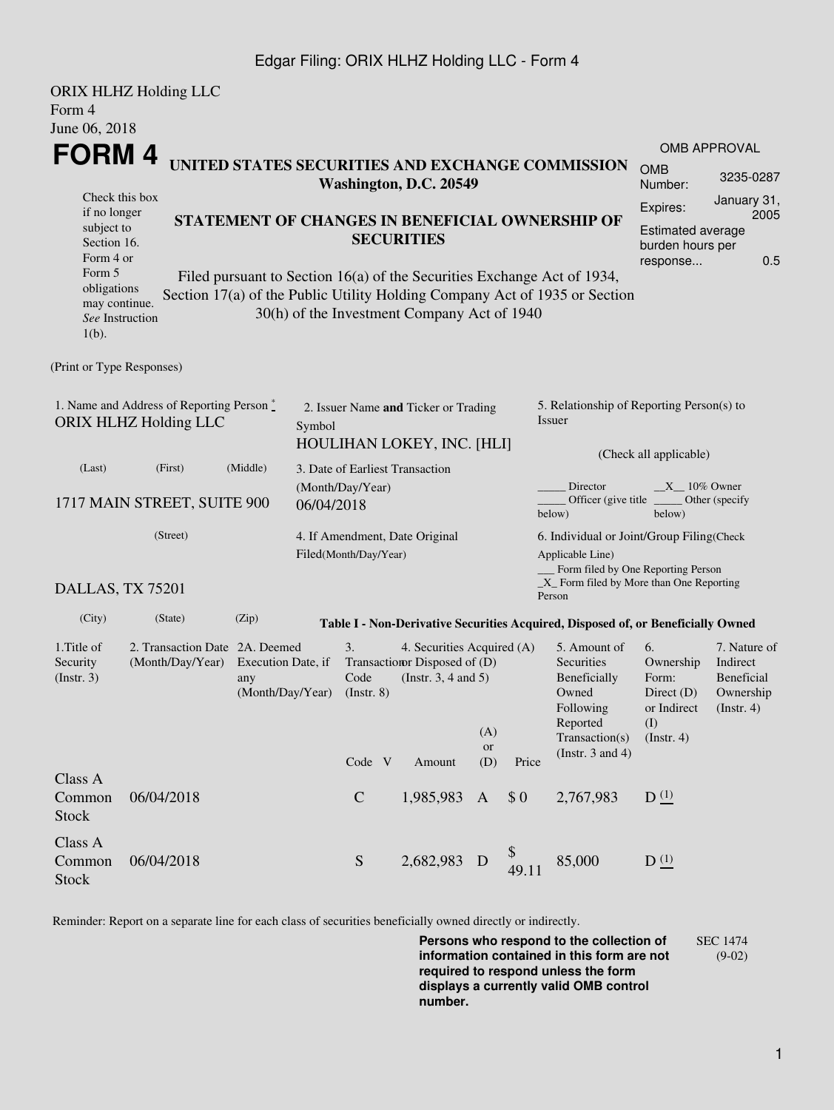## Edgar Filing: ORIX HLHZ Holding LLC - Form 4

|                                | <b>ORIX HLHZ Holding LLC</b>              |                                                                            |                                 |                                             |                           |                                           |                                                                                  |                             |                          |  |
|--------------------------------|-------------------------------------------|----------------------------------------------------------------------------|---------------------------------|---------------------------------------------|---------------------------|-------------------------------------------|----------------------------------------------------------------------------------|-----------------------------|--------------------------|--|
| Form 4                         |                                           |                                                                            |                                 |                                             |                           |                                           |                                                                                  |                             |                          |  |
| June 06, 2018                  |                                           |                                                                            |                                 |                                             |                           |                                           |                                                                                  |                             |                          |  |
| FORM 4                         |                                           |                                                                            |                                 |                                             |                           |                                           |                                                                                  |                             | <b>OMB APPROVAL</b>      |  |
|                                |                                           | UNITED STATES SECURITIES AND EXCHANGE COMMISSION                           |                                 | Washington, D.C. 20549                      |                           |                                           |                                                                                  | <b>OMB</b><br>Number:       | 3235-0287                |  |
| Check this box<br>if no longer |                                           |                                                                            |                                 |                                             |                           |                                           |                                                                                  | Expires:                    | January 31,              |  |
| subject to                     |                                           | STATEMENT OF CHANGES IN BENEFICIAL OWNERSHIP OF                            |                                 |                                             | 2005<br>Estimated average |                                           |                                                                                  |                             |                          |  |
| Section 16.                    |                                           |                                                                            |                                 | <b>SECURITIES</b>                           |                           |                                           | burden hours per                                                                 |                             |                          |  |
|                                | Form 4 or                                 |                                                                            |                                 |                                             |                           |                                           |                                                                                  | response                    | 0.5                      |  |
| Form 5<br>obligations          |                                           | Filed pursuant to Section 16(a) of the Securities Exchange Act of 1934,    |                                 |                                             |                           |                                           |                                                                                  |                             |                          |  |
| may continue.                  |                                           | Section 17(a) of the Public Utility Holding Company Act of 1935 or Section |                                 |                                             |                           |                                           |                                                                                  |                             |                          |  |
| See Instruction                |                                           |                                                                            |                                 | 30(h) of the Investment Company Act of 1940 |                           |                                           |                                                                                  |                             |                          |  |
| $1(b)$ .                       |                                           |                                                                            |                                 |                                             |                           |                                           |                                                                                  |                             |                          |  |
| (Print or Type Responses)      |                                           |                                                                            |                                 |                                             |                           |                                           |                                                                                  |                             |                          |  |
|                                | 1. Name and Address of Reporting Person * |                                                                            |                                 | 2. Issuer Name and Ticker or Trading        |                           |                                           | 5. Relationship of Reporting Person(s) to                                        |                             |                          |  |
|                                | <b>ORIX HLHZ Holding LLC</b>              | Symbol                                                                     |                                 |                                             |                           |                                           | Issuer                                                                           |                             |                          |  |
|                                |                                           |                                                                            |                                 | HOULIHAN LOKEY, INC. [HLI]                  |                           |                                           |                                                                                  |                             |                          |  |
|                                |                                           |                                                                            |                                 |                                             |                           |                                           |                                                                                  | (Check all applicable)      |                          |  |
| (Last)                         | (First)                                   | (Middle)                                                                   | 3. Date of Earliest Transaction |                                             |                           |                                           |                                                                                  |                             |                          |  |
|                                | 1717 MAIN STREET, SUITE 900               |                                                                            | (Month/Day/Year)                |                                             |                           |                                           | Director<br>Officer (give title)                                                 | $X = 10\%$ Owner            | Other (specify           |  |
|                                |                                           |                                                                            | 06/04/2018                      |                                             |                           |                                           | below)                                                                           | below)                      |                          |  |
|                                |                                           | 4. If Amendment, Date Original                                             |                                 |                                             |                           | 6. Individual or Joint/Group Filing(Check |                                                                                  |                             |                          |  |
|                                |                                           |                                                                            | Filed(Month/Day/Year)           |                                             |                           |                                           | Applicable Line)                                                                 |                             |                          |  |
|                                |                                           |                                                                            |                                 |                                             |                           |                                           | __ Form filed by One Reporting Person                                            |                             |                          |  |
| DALLAS, TX 75201               |                                           |                                                                            |                                 |                                             |                           |                                           | $\_X$ Form filed by More than One Reporting<br>Person                            |                             |                          |  |
| (City)                         | (State)                                   | (Zip)                                                                      |                                 |                                             |                           |                                           | Table I - Non-Derivative Securities Acquired, Disposed of, or Beneficially Owned |                             |                          |  |
| 1. Title of                    | 2. Transaction Date 2A. Deemed            |                                                                            | 3.                              | 4. Securities Acquired (A)                  |                           |                                           | 5. Amount of                                                                     | 6.                          | 7. Nature of             |  |
| Security                       | (Month/Day/Year)                          | Execution Date, if                                                         |                                 | Transaction Disposed of (D)                 |                           |                                           | Securities                                                                       | Ownership                   | Indirect                 |  |
| (Insert. 3)                    |                                           | any                                                                        | Code                            | (Instr. $3, 4$ and $5$ )                    |                           |                                           | Beneficially                                                                     | Form:                       | Beneficial               |  |
|                                |                                           | (Month/Day/Year)                                                           | $($ Instr. $8)$                 |                                             |                           |                                           | Owned<br>Following                                                               | Direct $(D)$<br>or Indirect | Ownership<br>(Insert. 4) |  |
|                                |                                           |                                                                            |                                 |                                             |                           |                                           | Reported                                                                         | (1)                         |                          |  |
|                                |                                           |                                                                            |                                 |                                             | (A)                       |                                           | Transaction(s)                                                                   | $($ Instr. 4 $)$            |                          |  |
|                                |                                           |                                                                            | Code V                          | Amount                                      | <b>or</b><br>(D)          | Price                                     | (Instr. $3$ and $4$ )                                                            |                             |                          |  |
| Class A                        |                                           |                                                                            |                                 |                                             |                           |                                           |                                                                                  |                             |                          |  |
| Common                         | 06/04/2018                                |                                                                            | $\mathbf C$                     | 1,985,983                                   | $\mathbf{A}$              | \$0                                       | 2,767,983                                                                        | D <sub>(1)</sub>            |                          |  |
| Stock                          |                                           |                                                                            |                                 |                                             |                           |                                           |                                                                                  |                             |                          |  |
| Class A                        |                                           |                                                                            |                                 |                                             |                           |                                           |                                                                                  |                             |                          |  |
| Common                         | 06/04/2018                                |                                                                            | ${\mathbf S}$                   | 2,682,983                                   | D                         | \$                                        | 85,000                                                                           | D <sup>(1)</sup>            |                          |  |
| <b>Stock</b>                   |                                           |                                                                            |                                 |                                             |                           | 49.11                                     |                                                                                  |                             |                          |  |

Reminder: Report on a separate line for each class of securities beneficially owned directly or indirectly.

**Persons who respond to the collection of information contained in this form are not required to respond unless the form displays a currently valid OMB control number.** SEC 1474 (9-02)